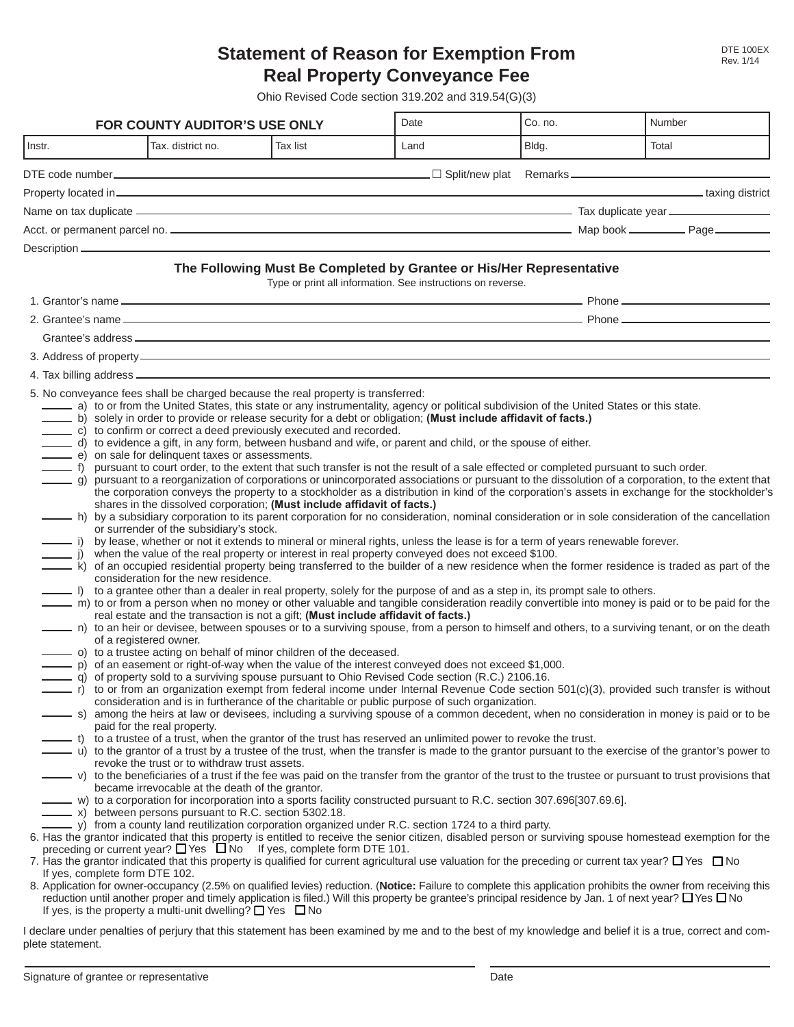## **Statement of Reason for Exemption From Real Property Conveyance Fee**

Ohio Revised Code section 319.202 and 319.54(G)(3)

| <b>FOR COUNTY AUDITOR'S USE ONLY</b>   |                                                                                                                                                                                                                                                                                                                                                                       |                                                                                                                                                                                                                                                                                                        | Date                                                                                                                                                                                                                                                                                                                                                                                                                                                                                                                                                                                                        | Co. no.                                                                                                                                                                                                                                                                                                                                                                                                                                                                                                                                                                                                                                                                                                                                                                                                                                                                                                                                                                                                                           | Number                                                                                                                                                                                                                                                                                                                                                                                                                                                                                                                                                                                                                                                                                                                                                                                                                                                                                                                                                                                                                                                                                                                                                                                                                                                                                                                                                                                                                                                                                                                                                                                                                                                                                                                                                                                                                                                      |
|----------------------------------------|-----------------------------------------------------------------------------------------------------------------------------------------------------------------------------------------------------------------------------------------------------------------------------------------------------------------------------------------------------------------------|--------------------------------------------------------------------------------------------------------------------------------------------------------------------------------------------------------------------------------------------------------------------------------------------------------|-------------------------------------------------------------------------------------------------------------------------------------------------------------------------------------------------------------------------------------------------------------------------------------------------------------------------------------------------------------------------------------------------------------------------------------------------------------------------------------------------------------------------------------------------------------------------------------------------------------|-----------------------------------------------------------------------------------------------------------------------------------------------------------------------------------------------------------------------------------------------------------------------------------------------------------------------------------------------------------------------------------------------------------------------------------------------------------------------------------------------------------------------------------------------------------------------------------------------------------------------------------------------------------------------------------------------------------------------------------------------------------------------------------------------------------------------------------------------------------------------------------------------------------------------------------------------------------------------------------------------------------------------------------|-------------------------------------------------------------------------------------------------------------------------------------------------------------------------------------------------------------------------------------------------------------------------------------------------------------------------------------------------------------------------------------------------------------------------------------------------------------------------------------------------------------------------------------------------------------------------------------------------------------------------------------------------------------------------------------------------------------------------------------------------------------------------------------------------------------------------------------------------------------------------------------------------------------------------------------------------------------------------------------------------------------------------------------------------------------------------------------------------------------------------------------------------------------------------------------------------------------------------------------------------------------------------------------------------------------------------------------------------------------------------------------------------------------------------------------------------------------------------------------------------------------------------------------------------------------------------------------------------------------------------------------------------------------------------------------------------------------------------------------------------------------------------------------------------------------------------------------------------------------|
| Instr.                                 | Tax. district no.                                                                                                                                                                                                                                                                                                                                                     | <b>Tax list</b>                                                                                                                                                                                                                                                                                        | Land                                                                                                                                                                                                                                                                                                                                                                                                                                                                                                                                                                                                        | Bldg.                                                                                                                                                                                                                                                                                                                                                                                                                                                                                                                                                                                                                                                                                                                                                                                                                                                                                                                                                                                                                             | Total                                                                                                                                                                                                                                                                                                                                                                                                                                                                                                                                                                                                                                                                                                                                                                                                                                                                                                                                                                                                                                                                                                                                                                                                                                                                                                                                                                                                                                                                                                                                                                                                                                                                                                                                                                                                                                                       |
|                                        |                                                                                                                                                                                                                                                                                                                                                                       |                                                                                                                                                                                                                                                                                                        |                                                                                                                                                                                                                                                                                                                                                                                                                                                                                                                                                                                                             |                                                                                                                                                                                                                                                                                                                                                                                                                                                                                                                                                                                                                                                                                                                                                                                                                                                                                                                                                                                                                                   |                                                                                                                                                                                                                                                                                                                                                                                                                                                                                                                                                                                                                                                                                                                                                                                                                                                                                                                                                                                                                                                                                                                                                                                                                                                                                                                                                                                                                                                                                                                                                                                                                                                                                                                                                                                                                                                             |
|                                        |                                                                                                                                                                                                                                                                                                                                                                       |                                                                                                                                                                                                                                                                                                        |                                                                                                                                                                                                                                                                                                                                                                                                                                                                                                                                                                                                             |                                                                                                                                                                                                                                                                                                                                                                                                                                                                                                                                                                                                                                                                                                                                                                                                                                                                                                                                                                                                                                   | axing district                                                                                                                                                                                                                                                                                                                                                                                                                                                                                                                                                                                                                                                                                                                                                                                                                                                                                                                                                                                                                                                                                                                                                                                                                                                                                                                                                                                                                                                                                                                                                                                                                                                                                                                                                                                                                                              |
|                                        |                                                                                                                                                                                                                                                                                                                                                                       |                                                                                                                                                                                                                                                                                                        |                                                                                                                                                                                                                                                                                                                                                                                                                                                                                                                                                                                                             |                                                                                                                                                                                                                                                                                                                                                                                                                                                                                                                                                                                                                                                                                                                                                                                                                                                                                                                                                                                                                                   | Name on tax duplicate <b>example and the control of the control of the control of the control of the control of the control of the control of the control of the control of the control of the control of the control of the con</b>                                                                                                                                                                                                                                                                                                                                                                                                                                                                                                                                                                                                                                                                                                                                                                                                                                                                                                                                                                                                                                                                                                                                                                                                                                                                                                                                                                                                                                                                                                                                                                                                                        |
|                                        |                                                                                                                                                                                                                                                                                                                                                                       |                                                                                                                                                                                                                                                                                                        |                                                                                                                                                                                                                                                                                                                                                                                                                                                                                                                                                                                                             |                                                                                                                                                                                                                                                                                                                                                                                                                                                                                                                                                                                                                                                                                                                                                                                                                                                                                                                                                                                                                                   |                                                                                                                                                                                                                                                                                                                                                                                                                                                                                                                                                                                                                                                                                                                                                                                                                                                                                                                                                                                                                                                                                                                                                                                                                                                                                                                                                                                                                                                                                                                                                                                                                                                                                                                                                                                                                                                             |
|                                        |                                                                                                                                                                                                                                                                                                                                                                       |                                                                                                                                                                                                                                                                                                        |                                                                                                                                                                                                                                                                                                                                                                                                                                                                                                                                                                                                             |                                                                                                                                                                                                                                                                                                                                                                                                                                                                                                                                                                                                                                                                                                                                                                                                                                                                                                                                                                                                                                   |                                                                                                                                                                                                                                                                                                                                                                                                                                                                                                                                                                                                                                                                                                                                                                                                                                                                                                                                                                                                                                                                                                                                                                                                                                                                                                                                                                                                                                                                                                                                                                                                                                                                                                                                                                                                                                                             |
|                                        |                                                                                                                                                                                                                                                                                                                                                                       |                                                                                                                                                                                                                                                                                                        | Type or print all information. See instructions on reverse.                                                                                                                                                                                                                                                                                                                                                                                                                                                                                                                                                 | The Following Must Be Completed by Grantee or His/Her Representative                                                                                                                                                                                                                                                                                                                                                                                                                                                                                                                                                                                                                                                                                                                                                                                                                                                                                                                                                              |                                                                                                                                                                                                                                                                                                                                                                                                                                                                                                                                                                                                                                                                                                                                                                                                                                                                                                                                                                                                                                                                                                                                                                                                                                                                                                                                                                                                                                                                                                                                                                                                                                                                                                                                                                                                                                                             |
|                                        |                                                                                                                                                                                                                                                                                                                                                                       |                                                                                                                                                                                                                                                                                                        |                                                                                                                                                                                                                                                                                                                                                                                                                                                                                                                                                                                                             |                                                                                                                                                                                                                                                                                                                                                                                                                                                                                                                                                                                                                                                                                                                                                                                                                                                                                                                                                                                                                                   |                                                                                                                                                                                                                                                                                                                                                                                                                                                                                                                                                                                                                                                                                                                                                                                                                                                                                                                                                                                                                                                                                                                                                                                                                                                                                                                                                                                                                                                                                                                                                                                                                                                                                                                                                                                                                                                             |
|                                        |                                                                                                                                                                                                                                                                                                                                                                       |                                                                                                                                                                                                                                                                                                        |                                                                                                                                                                                                                                                                                                                                                                                                                                                                                                                                                                                                             |                                                                                                                                                                                                                                                                                                                                                                                                                                                                                                                                                                                                                                                                                                                                                                                                                                                                                                                                                                                                                                   |                                                                                                                                                                                                                                                                                                                                                                                                                                                                                                                                                                                                                                                                                                                                                                                                                                                                                                                                                                                                                                                                                                                                                                                                                                                                                                                                                                                                                                                                                                                                                                                                                                                                                                                                                                                                                                                             |
|                                        |                                                                                                                                                                                                                                                                                                                                                                       |                                                                                                                                                                                                                                                                                                        |                                                                                                                                                                                                                                                                                                                                                                                                                                                                                                                                                                                                             |                                                                                                                                                                                                                                                                                                                                                                                                                                                                                                                                                                                                                                                                                                                                                                                                                                                                                                                                                                                                                                   |                                                                                                                                                                                                                                                                                                                                                                                                                                                                                                                                                                                                                                                                                                                                                                                                                                                                                                                                                                                                                                                                                                                                                                                                                                                                                                                                                                                                                                                                                                                                                                                                                                                                                                                                                                                                                                                             |
|                                        |                                                                                                                                                                                                                                                                                                                                                                       |                                                                                                                                                                                                                                                                                                        |                                                                                                                                                                                                                                                                                                                                                                                                                                                                                                                                                                                                             |                                                                                                                                                                                                                                                                                                                                                                                                                                                                                                                                                                                                                                                                                                                                                                                                                                                                                                                                                                                                                                   |                                                                                                                                                                                                                                                                                                                                                                                                                                                                                                                                                                                                                                                                                                                                                                                                                                                                                                                                                                                                                                                                                                                                                                                                                                                                                                                                                                                                                                                                                                                                                                                                                                                                                                                                                                                                                                                             |
|                                        |                                                                                                                                                                                                                                                                                                                                                                       |                                                                                                                                                                                                                                                                                                        |                                                                                                                                                                                                                                                                                                                                                                                                                                                                                                                                                                                                             |                                                                                                                                                                                                                                                                                                                                                                                                                                                                                                                                                                                                                                                                                                                                                                                                                                                                                                                                                                                                                                   |                                                                                                                                                                                                                                                                                                                                                                                                                                                                                                                                                                                                                                                                                                                                                                                                                                                                                                                                                                                                                                                                                                                                                                                                                                                                                                                                                                                                                                                                                                                                                                                                                                                                                                                                                                                                                                                             |
| _ r)<br>If yes, complete form DTE 102. | e) on sale for delinquent taxes or assessments.<br>or surrender of the subsidiary's stock.<br>consideration for the new residence.<br>of a registered owner.<br>paid for the real property.<br>revoke the trust or to withdraw trust assets.<br>became irrevocable at the death of the grantor.<br>$\frac{1}{2}$ x) between persons pursuant to R.C. section 5302.18. | c) to confirm or correct a deed previously executed and recorded.<br>shares in the dissolved corporation; (Must include affidavit of facts.)<br>(o) to a trustee acting on behalf of minor children of the deceased.<br>preceding or current year? $\Box$ Yes $\Box$ No If yes, complete form DTE 101. | j) when the value of the real property or interest in real property conveyed does not exceed \$100.<br>real estate and the transaction is not a gift; (Must include affidavit of facts.)<br>p) of an easement or right-of-way when the value of the interest conveyed does not exceed \$1,000.<br>q) of property sold to a surviving spouse pursuant to Ohio Revised Code section (R.C.) 2106.16.<br>consideration and is in furtherance of the charitable or public purpose of such organization.<br>- y) from a county land reutilization corporation organized under R.C. section 1724 to a third party. | a) to or from the United States, this state or any instrumentality, agency or political subdivision of the United States or this state.<br>b) solely in order to provide or release security for a debt or obligation; (Must include affidavit of facts.)<br>d) to evidence a gift, in any form, between husband and wife, or parent and child, or the spouse of either.<br>f) pursuant to court order, to the extent that such transfer is not the result of a sale effected or completed pursuant to such order.<br>i) by lease, whether or not it extends to mineral or mineral rights, unless the lease is for a term of years renewable forever.<br>l) to a grantee other than a dealer in real property, solely for the purpose of and as a step in, its prompt sale to others.<br>- t) to a trustee of a trust, when the grantor of the trust has reserved an unlimited power to revoke the trust.<br>w) to a corporation for incorporation into a sports facility constructed pursuant to R.C. section 307.696[307.69.6]. | g) pursuant to a reorganization of corporations or unincorporated associations or pursuant to the dissolution of a corporation, to the extent that<br>the corporation conveys the property to a stockholder as a distribution in kind of the corporation's assets in exchange for the stockholder's<br>h) by a subsidiary corporation to its parent corporation for no consideration, nominal consideration or in sole consideration of the cancellation<br>k) of an occupied residential property being transferred to the builder of a new residence when the former residence is traded as part of the<br>m) to or from a person when no money or other valuable and tangible consideration readily convertible into money is paid or to be paid for the<br>n) to an heir or devisee, between spouses or to a surviving spouse, from a person to himself and others, to a surviving tenant, or on the death<br>to or from an organization exempt from federal income under Internal Revenue Code section 501(c)(3), provided such transfer is without<br>- s) among the heirs at law or devisees, including a surviving spouse of a common decedent, when no consideration in money is paid or to be<br>u) to the grantor of a trust by a trustee of the trust, when the transfer is made to the grantor pursuant to the exercise of the grantor's power to<br>v) to the beneficiaries of a trust if the fee was paid on the transfer from the grantor of the trust to the trustee or pursuant to trust provisions that<br>6. Has the grantor indicated that this property is entitled to receive the senior citizen, disabled person or surviving spouse homestead exemption for the<br>7. Has the grantor indicated that this property is qualified for current agricultural use valuation for the preceding or current tax year? $\Box$ Yes $\Box$ No |
|                                        | If yes, is the property a multi-unit dwelling? $\Box$ Yes $\Box$ No                                                                                                                                                                                                                                                                                                   |                                                                                                                                                                                                                                                                                                        |                                                                                                                                                                                                                                                                                                                                                                                                                                                                                                                                                                                                             |                                                                                                                                                                                                                                                                                                                                                                                                                                                                                                                                                                                                                                                                                                                                                                                                                                                                                                                                                                                                                                   | 8. Application for owner-occupancy (2.5% on qualified levies) reduction. (Notice: Failure to complete this application prohibits the owner from receiving this<br>reduction until another proper and timely application is filed.) Will this property be grantee's principal residence by Jan. 1 of next year? $\Box$ Yes $\Box$ No                                                                                                                                                                                                                                                                                                                                                                                                                                                                                                                                                                                                                                                                                                                                                                                                                                                                                                                                                                                                                                                                                                                                                                                                                                                                                                                                                                                                                                                                                                                         |

I declare under penalties of perjury that this statement has been examined by me and to the best of my knowledge and belief it is a true, correct and complete statement.